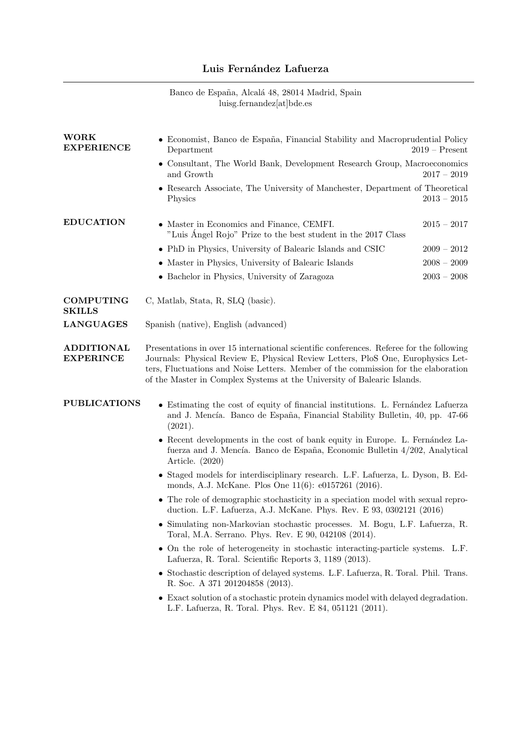## Luis Fernández Lafuerza

|  |                           | Banco de España, Alcalá 48, 28014 Madrid, Spain |  |
|--|---------------------------|-------------------------------------------------|--|
|  | luisg.fernandez[at]bde.es |                                                 |  |

| <b>WORK</b><br><b>EXPERIENCE</b>      | • Economist, Banco de España, Financial Stability and Macroprudential Policy<br>$2019$ – Present<br>Department                                                                                                                                                                                                                                |               |  |  |
|---------------------------------------|-----------------------------------------------------------------------------------------------------------------------------------------------------------------------------------------------------------------------------------------------------------------------------------------------------------------------------------------------|---------------|--|--|
|                                       | • Consultant, The World Bank, Development Research Group, Macroeconomics<br>and Growth                                                                                                                                                                                                                                                        | $2017 - 2019$ |  |  |
|                                       | • Research Associate, The University of Manchester, Department of Theoretical<br>Physics                                                                                                                                                                                                                                                      | $2013 - 2015$ |  |  |
| <b>EDUCATION</b>                      | • Master in Economics and Finance, CEMFI.<br>"Luis Ángel Rojo" Prize to the best student in the 2017 Class                                                                                                                                                                                                                                    | $2015 - 2017$ |  |  |
|                                       | • PhD in Physics, University of Balearic Islands and CSIC                                                                                                                                                                                                                                                                                     | $2009 - 2012$ |  |  |
|                                       | • Master in Physics, University of Balearic Islands                                                                                                                                                                                                                                                                                           | $2008 - 2009$ |  |  |
|                                       | • Bachelor in Physics, University of Zaragoza                                                                                                                                                                                                                                                                                                 | $2003 - 2008$ |  |  |
| <b>COMPUTING</b><br><b>SKILLS</b>     | C, Matlab, Stata, R, SLQ (basic).                                                                                                                                                                                                                                                                                                             |               |  |  |
| <b>LANGUAGES</b>                      | Spanish (native), English (advanced)                                                                                                                                                                                                                                                                                                          |               |  |  |
| <b>ADDITIONAL</b><br><b>EXPERINCE</b> | Presentations in over 15 international scientific conferences. Referee for the following<br>Journals: Physical Review E, Physical Review Letters, PloS One, Europhysics Let-<br>ters, Fluctuations and Noise Letters. Member of the commission for the elaboration<br>of the Master in Complex Systems at the University of Balearic Islands. |               |  |  |
| <b>PUBLICATIONS</b>                   | • Estimating the cost of equity of financial institutions. L. Fernández Lafuerza<br>and J. Mencía. Banco de España, Financial Stability Bulletin, 40, pp. 47-66<br>(2021).                                                                                                                                                                    |               |  |  |
|                                       | • Recent developments in the cost of bank equity in Europe. L. Fernández La-<br>fuerza and J. Mencía. Banco de España, Economic Bulletin 4/202, Analytical<br>Article. (2020)                                                                                                                                                                 |               |  |  |
|                                       | • Staged models for interdisciplinary research. L.F. Lafuerza, L. Dyson, B. Ed-<br>monds, A.J. McKane. Plos One 11(6): e0157261 (2016).                                                                                                                                                                                                       |               |  |  |
|                                       | • The role of demographic stochasticity in a speciation model with sexual repro-<br>duction. L.F. Lafuerza, A.J. McKane. Phys. Rev. E 93, 0302121 (2016)                                                                                                                                                                                      |               |  |  |
|                                       | Simulating non-Markovian stochastic processes. M. Bogu, L.F. Lafuerza, R.<br>Toral, M.A. Serrano. Phys. Rev. E 90, 042108 (2014).                                                                                                                                                                                                             |               |  |  |
|                                       | • On the role of heterogeneity in stochastic interacting-particle systems. L.F.<br>Lafuerza, R. Toral. Scientific Reports 3, 1189 (2013).                                                                                                                                                                                                     |               |  |  |
|                                       | • Stochastic description of delayed systems. L.F. Lafuerza, R. Toral. Phil. Trans.<br>R. Soc. A 371 201204858 (2013).                                                                                                                                                                                                                         |               |  |  |
|                                       | • Exact solution of a stochastic protein dynamics model with delayed degradation.<br>L.F. Lafuerza, R. Toral. Phys. Rev. E 84, 051121 (2011).                                                                                                                                                                                                 |               |  |  |